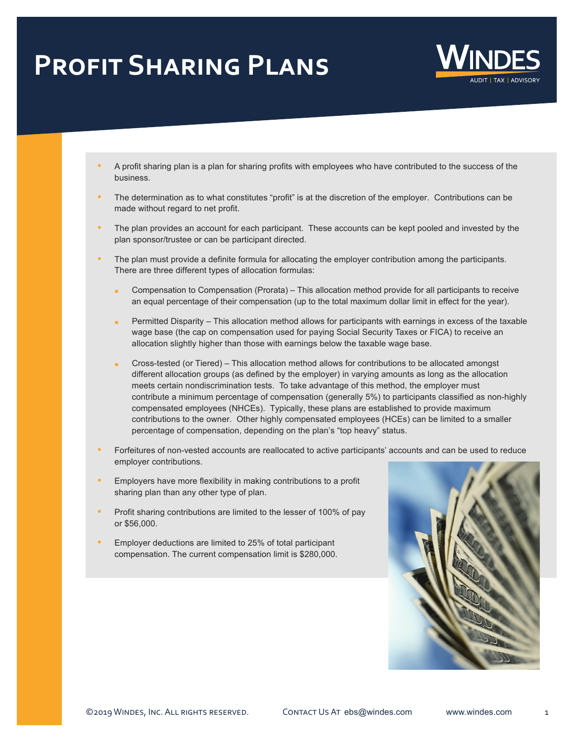## **Profit Sharing Plans**



- A profit sharing plan is a plan for sharing profits with employees who have contributed to the success of the business.
- The determination as to what constitutes "profit" is at the discretion of the employer. Contributions can be made without regard to net profit.
- The plan provides an account for each participant. These accounts can be kept pooled and invested by the plan sponsor/trustee or can be participant directed.
- The plan must provide a definite formula for allocating the employer contribution among the participants. There are three different types of allocation formulas:
	- n Compensation to Compensation (Prorata) This allocation method provide for all participants to receive an equal percentage of their compensation (up to the total maximum dollar limit in effect for the year).
	- Permitted Disparity This allocation method allows for participants with earnings in excess of the taxable wage base (the cap on compensation used for paying Social Security Taxes or FICA) to receive an allocation slightly higher than those with earnings below the taxable wage base.
	- Cross-tested (or Tiered) This allocation method allows for contributions to be allocated amongst different allocation groups (as defined by the employer) in varying amounts as long as the allocation meets certain nondiscrimination tests. To take advantage of this method, the employer must contribute a minimum percentage of compensation (generally 5%) to participants classified as non-highly compensated employees (NHCEs). Typically, these plans are established to provide maximum contributions to the owner. Other highly compensated employees (HCEs) can be limited to a smaller percentage of compensation, depending on the plan's "top heavy" status.
- Forfeitures of non-vested accounts are reallocated to active participants' accounts and can be used to reduce employer contributions.
- **Employers have more flexibility in making contributions to a profit** sharing plan than any other type of plan.
- **•** Profit sharing contributions are limited to the lesser of 100% of pay or \$56,000.
- **Employer deductions are limited to 25% of total participant** compensation. The current compensation limit is \$280,000.